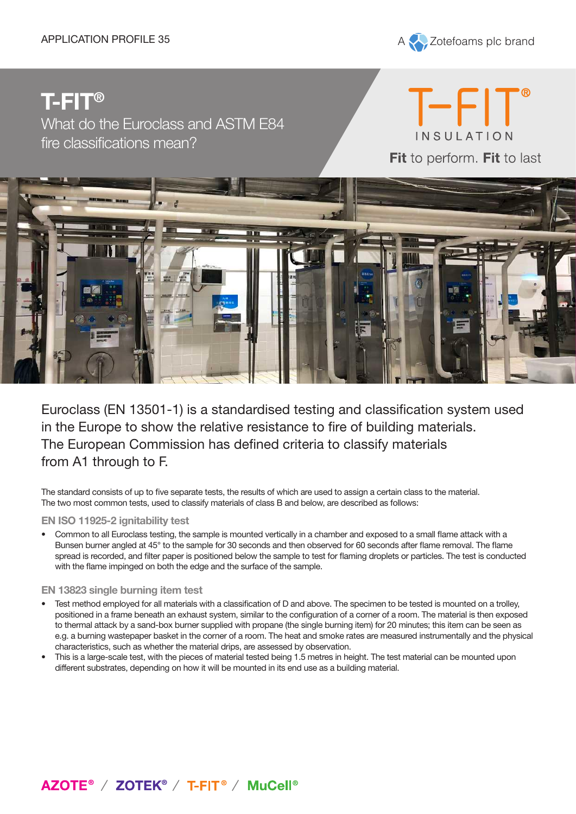APPLICATION PROFILE 35 A Zotefoams plc brand

# **T-FIT®**

What do the Euroclass and ASTM E84 fire classifications mean?

 $T$  -FIT INSULATION Fit to perform. Fit to last



Euroclass (EN 13501-1) is a standardised testing and classification system used in the Europe to show the relative resistance to fire of building materials. The European Commission has defined criteria to classify materials from A1 through to F.

The standard consists of up to five separate tests, the results of which are used to assign a certain class to the material. The two most common tests, used to classify materials of class B and below, are described as follows:

#### **EN ISO 11925-2 ignitability test**

• Common to all Euroclass testing, the sample is mounted vertically in a chamber and exposed to a small flame attack with a Bunsen burner angled at 45° to the sample for 30 seconds and then observed for 60 seconds after flame removal. The flame spread is recorded, and filter paper is positioned below the sample to test for flaming droplets or particles. The test is conducted with the flame impinged on both the edge and the surface of the sample.

#### **EN 13823 single burning item test**

- Test method employed for all materials with a classification of D and above. The specimen to be tested is mounted on a trolley, positioned in a frame beneath an exhaust system, similar to the configuration of a corner of a room. The material is then exposed to thermal attack by a sand-box burner supplied with propane (the single burning item) for 20 minutes; this item can be seen as e.g. a burning wastepaper basket in the corner of a room. The heat and smoke rates are measured instrumentally and the physical characteristics, such as whether the material drips, are assessed by observation.
- This is a large-scale test, with the pieces of material tested being 1.5 metres in height. The test material can be mounted upon different substrates, depending on how it will be mounted in its end use as a building material.

### AZOTE<sup>®</sup> / ZOTEK<sup>®</sup> / T-FIT<sup>®</sup> / MuCell<sup>®</sup>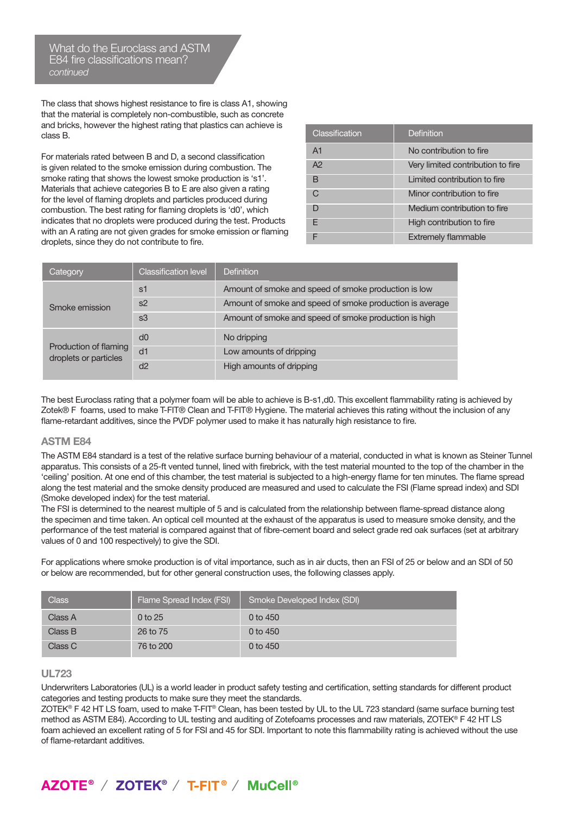What do the Euroclass and ASTM E84 fire classifications mean? *continued*

The class that shows highest resistance to fire is class A1, showing that the material is completely non-combustible, such as concrete and bricks, however the highest rating that plastics can achieve is class B.

For materials rated between B and D, a second classification is given related to the smoke emission during combustion. The smoke rating that shows the lowest smoke production is 's1'. Materials that achieve categories B to E are also given a rating for the level of flaming droplets and particles produced during combustion. The best rating for flaming droplets is 'd0', which indicates that no droplets were produced during the test. Products with an A rating are not given grades for smoke emission or flaming droplets, since they do not contribute to fire.

| Classification | Definition                        |
|----------------|-----------------------------------|
| A <sub>1</sub> | No contribution to fire           |
| A <sup>2</sup> | Very limited contribution to fire |
| B              | Limited contribution to fire      |
| C.             | Minor contribution to fire        |
|                | Medium contribution to fire       |
| F              | High contribution to fire         |
|                | <b>Extremely flammable</b>        |

| Category                                       | <b>Classification level</b> | Definition                                               |
|------------------------------------------------|-----------------------------|----------------------------------------------------------|
| Smoke emission                                 | s1                          | Amount of smoke and speed of smoke production is low     |
|                                                | s2                          | Amount of smoke and speed of smoke production is average |
|                                                | s3                          | Amount of smoke and speed of smoke production is high    |
| Production of flaming<br>droplets or particles | d0                          | No dripping                                              |
|                                                | d1                          | Low amounts of dripping                                  |
|                                                | d2                          | High amounts of dripping                                 |

The best Euroclass rating that a polymer foam will be able to achieve is B-s1,d0. This excellent flammability rating is achieved by Zotek® F foams, used to make T-FIT® Clean and T-FIT® Hygiene. The material achieves this rating without the inclusion of any flame-retardant additives, since the PVDF polymer used to make it has naturally high resistance to fire.

#### **ASTM E84**

The ASTM E84 standard is a test of the relative surface burning behaviour of a material, conducted in what is known as Steiner Tunnel apparatus. This consists of a 25-ft vented tunnel, lined with firebrick, with the test material mounted to the top of the chamber in the 'ceiling' position. At one end of this chamber, the test material is subjected to a high-energy flame for ten minutes. The flame spread along the test material and the smoke density produced are measured and used to calculate the FSI (Flame spread index) and SDI (Smoke developed index) for the test material.

The FSI is determined to the nearest multiple of 5 and is calculated from the relationship between flame-spread distance along the specimen and time taken. An optical cell mounted at the exhaust of the apparatus is used to measure smoke density, and the performance of the test material is compared against that of fibre-cement board and select grade red oak surfaces (set at arbitrary values of 0 and 100 respectively) to give the SDI.

For applications where smoke production is of vital importance, such as in air ducts, then an FSI of 25 or below and an SDI of 50 or below are recommended, but for other general construction uses, the following classes apply.

| <b>Class</b> | Flame Spread Index (FSI) | Smoke Developed Index (SDI) |
|--------------|--------------------------|-----------------------------|
| Class A      | $0$ to 25                | 0 to 450                    |
| Class B      | 26 to 75                 | 0 to $450$                  |
| Class C      | 76 to 200                | 0 to $450$                  |

#### **UL723**

Underwriters Laboratories (UL) is a world leader in product safety testing and certification, setting standards for different product categories and testing products to make sure they meet the standards.

ZOTEK® F 42 HT LS foam, used to make T-FIT® Clean, has been tested by UL to the UL 723 standard (same surface burning test method as ASTM E84). According to UL testing and auditing of Zotefoams processes and raw materials, ZOTEK® F 42 HT LS foam achieved an excellent rating of 5 for FSI and 45 for SDI. Important to note this flammability rating is achieved without the use of flame-retardant additives.

## AZOTE<sup>®</sup> / ZOTEK<sup>®</sup> / T-FIT<sup>®</sup> / MuCell<sup>®</sup>